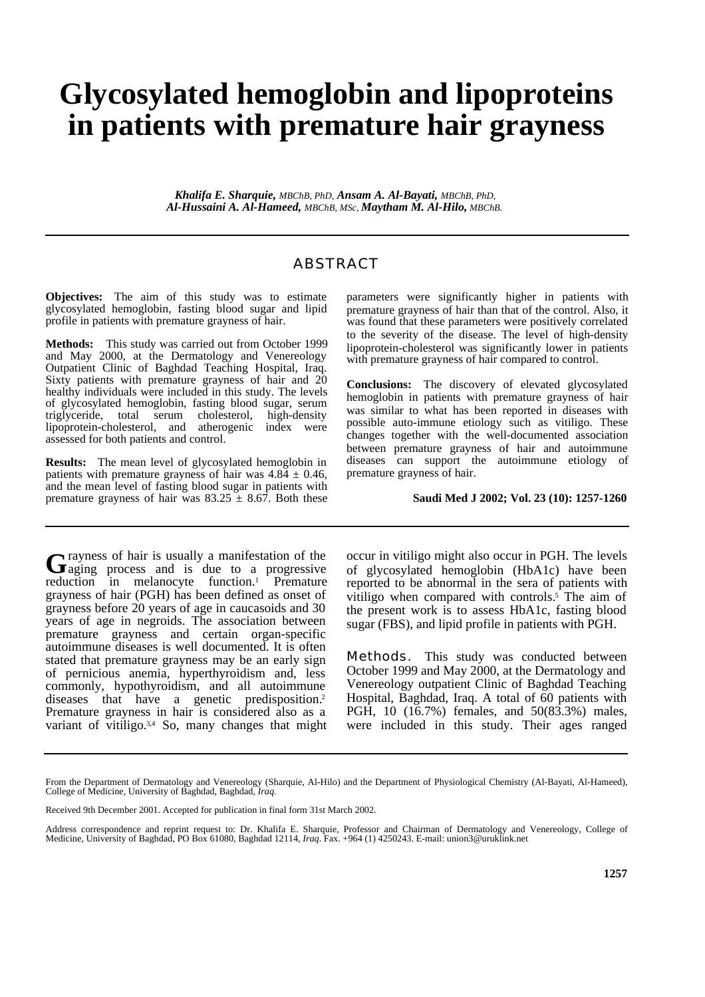## **Glycosylated hemoglobin and lipoproteins in patients with premature hair grayness**

*Khalifa E. Sharquie, MBChB, PhD, Ansam A. Al-Bayati, MBChB, PhD, Al-Hussaini A. Al-Hameed, MBChB, MSc, Maytham M. Al-Hilo, MBChB.* 

## ABSTRACT

**Objectives:** The aim of this study was to estimate glycosylated hemoglobin, fasting blood sugar and lipid profile in patients with premature grayness of hair.

**Methods:** This study was carried out from October 1999 and May 2000, at the Dermatology and Venereology Outpatient Clinic of Baghdad Teaching Hospital, Iraq. Sixty patients with premature grayness of hair and 20 healthy individuals were included in this study. The levels of glycosylated hemoglobin, fasting blood sugar, serum triglyceride, total serum cholesterol, high-density lipoprotein-cholesterol, and atherogenic index were assessed for both patients and control.

**Results:** The mean level of glycosylated hemoglobin in patients with premature grayness of hair was  $4.84 \pm 0.46$ , and the mean level of fasting blood sugar in patients with premature grayness of hair was  $83.25 \pm 8.67$ . Both these parameters were significantly higher in patients with premature grayness of hair than that of the control. Also, it was found that these parameters were positively correlated to the severity of the disease. The level of high-density lipoprotein-cholesterol was significantly lower in patients with premature grayness of hair compared to control.

**Conclusions:** The discovery of elevated glycosylated hemoglobin in patients with premature grayness of hair was similar to what has been reported in diseases with possible auto-immune etiology such as vitiligo. These changes together with the well-documented association between premature grayness of hair and autoimmune diseases can support the autoimmune etiology of premature grayness of hair.

## **Saudi Med J 2002; Vol. 23 (10): 1257-1260**

rayness of hair is usually a manifestation of the Grayness of hair is usually a manifestation of the aging process and is due to a progressive reduction in melanocyte function.<sup>1</sup> Premature grayness of hair (PGH) has been defined as onset of grayness before 20 years of age in caucasoids and 30 years of age in negroids. The association between premature grayness and certain organ-specific autoimmune diseases is well documented. It is often stated that premature grayness may be an early sign of pernicious anemia, hyperthyroidism and, less commonly, hypothyroidism, and all autoimmune diseases that have a genetic predisposition.<sup>2</sup> Premature grayness in hair is considered also as a variant of vitiligo.<sup>3,4</sup> So, many changes that might

occur in vitiligo might also occur in PGH. The levels of glycosylated hemoglobin (HbA1c) have been reported to be abnormal in the sera of patients with vitiligo when compared with controls.<sup>5</sup> The aim of the present work is to assess HbA1c, fasting blood sugar (FBS), and lipid profile in patients with PGH.

**Methods.** This study was conducted between October 1999 and May 2000, at the Dermatology and Venereology outpatient Clinic of Baghdad Teaching Hospital, Baghdad, Iraq. A total of 60 patients with PGH, 10 (16.7%) females, and 50(83.3%) males, were included in this study. Their ages ranged

From the Department of Dermatology and Venereology (Sharquie, Al-Hilo) and the Department of Physiological Chemistry (Al-Bayati, Al-Hameed), College of Medicine, University of Baghdad, Baghdad, *Iraq*.

Received 9th December 2001. Accepted for publication in final form 31st March 2002.

Address correspondence and reprint request to: Dr. Khalifa E. Sharquie, Professor and Chairman of Dermatology and Venereology, College of Medicine, University of Baghdad, PO Box 61080, Baghdad 12114, *Iraq*. Fax. +964 (1) 4250243. E-mail: union3@uruklink.net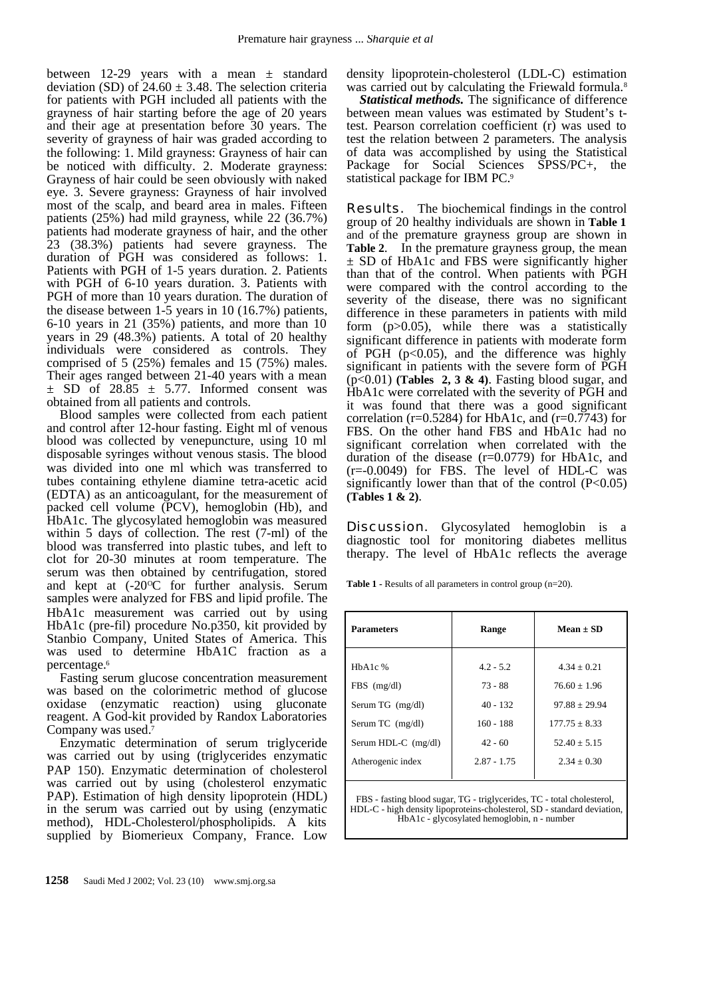between 12-29 years with a mean  $\pm$  standard deviation (SD) of  $24.60 \pm 3.48$ . The selection criteria for patients with PGH included all patients with the grayness of hair starting before the age of 20 years and their age at presentation before 30 years. The severity of grayness of hair was graded according to the following: 1. Mild grayness: Grayness of hair can be noticed with difficulty. 2. Moderate grayness: Grayness of hair could be seen obviously with naked eye. 3. Severe grayness: Grayness of hair involved most of the scalp, and beard area in males. Fifteen patients (25%) had mild grayness, while 22 (36.7%) patients had moderate grayness of hair, and the other 23 (38.3%) patients had severe grayness. The duration of PGH was considered as follows: 1. Patients with PGH of 1-5 years duration. 2. Patients with PGH of 6-10 years duration. 3. Patients with PGH of more than 10 years duration. The duration of the disease between 1-5 years in 10 (16.7%) patients, 6-10 years in 21 (35%) patients, and more than 10 years in 29 (48.3%) patients. A total of 20 healthy individuals were considered as controls. They comprised of  $5$  (25%) females and 15 (75%) males. Their ages ranged between 21-40 years with a mean  $\pm$  SD of 28.85  $\pm$  5.77. Informed consent was obtained from all patients and controls.

Blood samples were collected from each patient and control after 12-hour fasting. Eight ml of venous blood was collected by venepuncture, using 10 ml disposable syringes without venous stasis. The blood was divided into one ml which was transferred to tubes containing ethylene diamine tetra-acetic acid (EDTA) as an anticoagulant, for the measurement of packed cell volume (PCV), hemoglobin (Hb), and HbA1c. The glycosylated hemoglobin was measured within 5 days of collection. The rest (7-ml) of the blood was transferred into plastic tubes, and left to clot for 20-30 minutes at room temperature. The serum was then obtained by centrifugation, stored and kept at  $(-20^{\circ}\text{C})$  for further analysis. Serum samples were analyzed for FBS and lipid profile. The HbA1c measurement was carried out by using HbA1c (pre-fil) procedure No.p350, kit provided by Stanbio Company, United States of America. This was used to determine HbA1C fraction as a percentage.<sup>6</sup>

Fasting serum glucose concentration measurement was based on the colorimetric method of glucose oxidase (enzymatic reaction) using gluconate reagent. A God-kit provided by Randox Laboratories Company was used.<sup>7</sup>

Enzymatic determination of serum triglyceride was carried out by using (triglycerides enzymatic PAP 150). Enzymatic determination of cholesterol was carried out by using (cholesterol enzymatic PAP). Estimation of high density lipoprotein (HDL) in the serum was carried out by using (enzymatic method), HDL-Cholesterol/phospholipids. A kits supplied by Biomerieux Company, France. Low

density lipoprotein-cholesterol (LDL-C) estimation was carried out by calculating the Friewald formula.<sup>8</sup>

*Statistical methods.* The significance of difference between mean values was estimated by Student's ttest. Pearson correlation coefficient (r) was used to test the relation between 2 parameters. The analysis of data was accomplished by using the Statistical Package for Social Sciences SPSS/PC+, the statistical package for IBM PC.<sup>9</sup>

**Results.** The biochemical findings in the control group of 20 healthy individuals are shown in **Table 1** and of the premature grayness group are shown in **Table 2**. In the premature grayness group, the mean ± SD of HbA1c and FBS were significantly higher than that of the control. When patients with PGH were compared with the control according to the severity of the disease, there was no significant difference in these parameters in patients with mild form (p>0.05), while there was a statistically significant difference in patients with moderate form of PGH ( $p<0.05$ ), and the difference was highly significant in patients with the severe form of PGH (p<0.01) **(Tables 2, 3 & 4)**. Fasting blood sugar, and HbA1c were correlated with the severity of PGH and it was found that there was a good significant correlation ( $r=0.5284$ ) for HbA1c, and ( $r=0.7743$ ) for FBS. On the other hand FBS and HbA1c had no significant correlation when correlated with the duration of the disease (r=0.0779) for HbA1c, and  $(r=0.0049)$  for FBS. The level of HDL-C was significantly lower than that of the control  $(P<0.05)$ **(Tables 1 & 2)**.

**Discussion.** Glycosylated hemoglobin is a diagnostic tool for monitoring diabetes mellitus therapy. The level of HbA1c reflects the average

**Table 1 -** Results of all parameters in control group (n=20).

| <b>Parameters</b>   | Range         | Mean $\pm$ SD   |
|---------------------|---------------|-----------------|
|                     |               |                 |
| $HbA1c$ %           | $4.2 - 5.2$   | $4.34 + 0.21$   |
| $FBS$ (mg/dl)       | $73 - 88$     | $76.60 + 1.96$  |
| Serum TG (mg/dl)    | $40 - 132$    | $97.88 + 29.94$ |
| Serum TC $(mg/dl)$  | $160 - 188$   | $177.75 + 8.33$ |
| Serum HDL-C (mg/dl) | $42 - 60$     | $52.40 + 5.15$  |
| Atherogenic index   | $2.87 - 1.75$ | $2.34 + 0.30$   |
|                     |               |                 |

FBS - fasting blood sugar, TG - triglycerides, TC - total cholesterol, HDL-C - high density lipoproteins-cholesterol, SD - standard deviation, HbA1c - glycosylated hemoglobin, n - number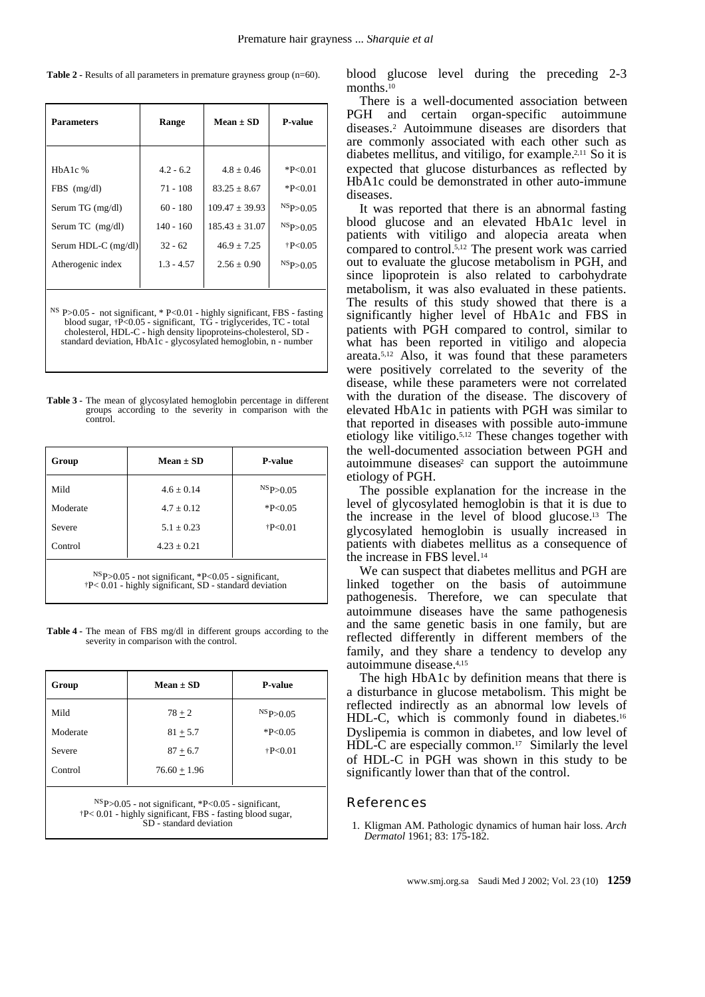**Table 2 -** Results of all parameters in premature grayness group (n=60).

| <b>Parameters</b>   | Range        | Mean $\pm$ SD      | P-value         |
|---------------------|--------------|--------------------|-----------------|
|                     |              |                    |                 |
| $HbA1c$ %           | $4.2 - 6.2$  | $4.8 + 0.46$       | $*P<0.01$       |
| $FBS$ (mg/dl)       | $71 - 108$   | $83.25 + 8.67$     | $*P<0.01$       |
| Serum TG (mg/dl)    | $60 - 180$   | $109.47 + 39.93$   | $^{NS}P>0.05$   |
| Serum TC (mg/dl)    | $140 - 160$  | $185.43 \pm 31.07$ | $^{NS}P > 0.05$ |
| Serum HDL-C (mg/dl) | $32 - 62$    | $46.9 + 7.25$      | $+P<0.05$       |
| Atherogenic index   | $1.3 - 4.57$ | $2.56 + 0.90$      | $^{NS}P>0.05$   |
|                     |              |                    |                 |

NS P>0.05 - not significant, \* P<0.01 - highly significant, FBS - fasting blood sugar, †P<0.05 - significant, TG - triglycerides, TC - total cholesterol, HDL-C - high density lipoproteins-cholesterol, SD standard deviation, HbA1c - glycosylated hemoglobin, n - number

**Table 3 -** The mean of glycosylated hemoglobin percentage in different groups according to the severity in comparison with the control.

| $Mean \pm SD$   | <b>P-value</b> |
|-----------------|----------------|
| $4.6 + 0.14$    | $^{NS}P>0.05$  |
| $4.7 + 0.12$    | $*P<0.05$      |
| $5.1 + 0.23$    | P < 0.01       |
| $4.23 \pm 0.21$ |                |
|                 |                |

NSP>0.05 - not significant, \*P<0.05 - significant, †P<0.01 - highly significant, SD - standard deviation

**Table 4 -** The mean of FBS mg/dl in different groups according to the severity in comparison with the control.

| Group    | $Mean \pm SD$  | <b>P-value</b>  |
|----------|----------------|-----------------|
| Mild     | $78 + 2$       | $^{NS}P > 0.05$ |
| Moderate | $81 + 5.7$     | $*P<0.05$       |
| Severe   | $87 + 6.7$     | $+P<0.01$       |
| Control  | $76.60 + 1.96$ |                 |

NSP>0.05 - not significant, \*P<0.05 - significant, †P< 0.01 - highly significant, FBS - fasting blood sugar, SD - standard deviation

blood glucose level during the preceding 2-3 months.<sup>10</sup>

There is a well-documented association between PGH and certain organ-specific autoimmune diseases.<sup>2</sup> Autoimmune diseases are disorders that are commonly associated with each other such as diabetes mellitus, and vitiligo, for example.2,11 So it is expected that glucose disturbances as reflected by HbA1c could be demonstrated in other auto-immune diseases.

It was reported that there is an abnormal fasting blood glucose and an elevated HbA1c level in patients with vitiligo and alopecia areata when compared to control.5,12 The present work was carried out to evaluate the glucose metabolism in PGH, and since lipoprotein is also related to carbohydrate metabolism, it was also evaluated in these patients. The results of this study showed that there is a significantly higher level of HbA1c and FBS in patients with PGH compared to control, similar to what has been reported in vitiligo and alopecia areata.5,12 Also, it was found that these parameters were positively correlated to the severity of the disease, while these parameters were not correlated with the duration of the disease. The discovery of elevated HbA1c in patients with PGH was similar to that reported in diseases with possible auto-immune etiology like vitiligo.5,12 These changes together with the well-documented association between PGH and autoimmune diseases<sup>2</sup> can support the autoimmune etiology of PGH.

The possible explanation for the increase in the level of glycosylated hemoglobin is that it is due to the increase in the level of blood glucose.13 The glycosylated hemoglobin is usually increased in patients with diabetes mellitus as a consequence of the increase in FBS level.<sup>14</sup>

We can suspect that diabetes mellitus and PGH are linked together on the basis of autoimmune pathogenesis. Therefore, we can speculate that autoimmune diseases have the same pathogenesis and the same genetic basis in one family, but are reflected differently in different members of the family, and they share a tendency to develop any autoimmune disease.4,15

The high HbA1c by definition means that there is a disturbance in glucose metabolism. This might be reflected indirectly as an abnormal low levels of HDL-C, which is commonly found in diabetes.<sup>16</sup> Dyslipemia is common in diabetes, and low level of  $HDL-C$  are especially common.<sup>17</sup> Similarly the level of HDL-C in PGH was shown in this study to be significantly lower than that of the control.

## References

 1. Kligman AM. Pathologic dynamics of human hair loss. *Arch Dermatol* 1961; 83: 175-182.